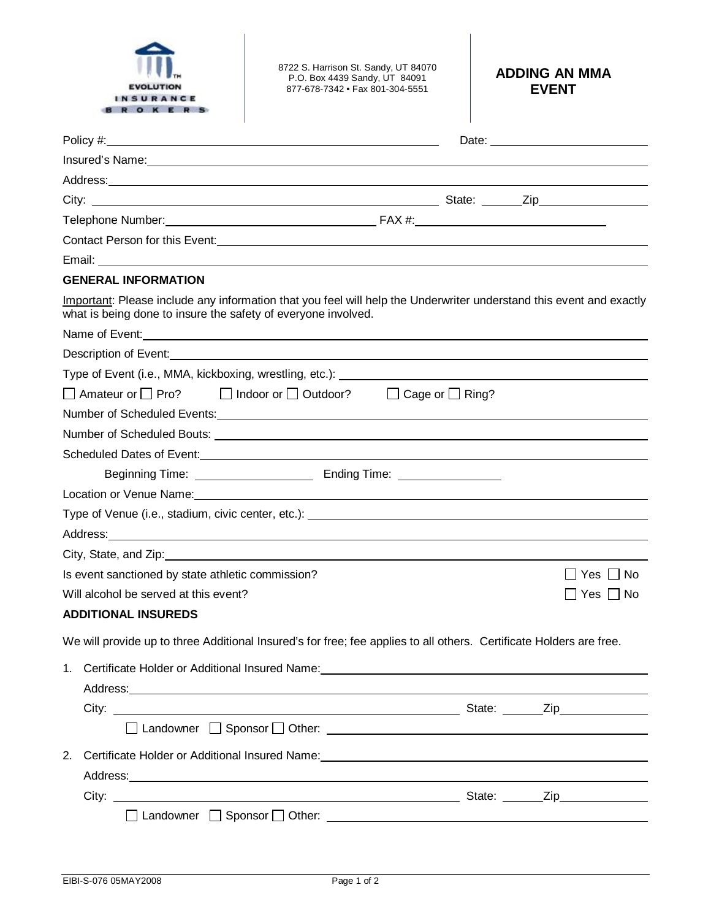

8722 S. Harrison St. Sandy, UT 84070 P.O. Box 4439 Sandy, UT 84091 877-678-7342 • Fax 801-304-5551

## **ADDING AN MMA EVENT**

| Insured's Name: Note and the set of the set of the set of the set of the set of the set of the set of the set of the set of the set of the set of the set of the set of the set of the set of the set of the set of the set of       |  |                      |
|--------------------------------------------------------------------------------------------------------------------------------------------------------------------------------------------------------------------------------------|--|----------------------|
|                                                                                                                                                                                                                                      |  |                      |
|                                                                                                                                                                                                                                      |  |                      |
|                                                                                                                                                                                                                                      |  |                      |
| Contact Person for this Event:<br><u> Contact Person for this Event:</u>                                                                                                                                                             |  |                      |
| Email: <u>Andreas and American and American and American and American and American and American and American and American and American and American and American and American and American and American and American and America</u> |  |                      |
| <b>GENERAL INFORMATION</b>                                                                                                                                                                                                           |  |                      |
| Important: Please include any information that you feel will help the Underwriter understand this event and exactly<br>what is being done to insure the safety of everyone involved.                                                 |  |                      |
| Name of Event: Name of Event:                                                                                                                                                                                                        |  |                      |
| Description of Event: <u>context of the context of the context of the context of the context of the context of the context of the context of the context of the context of the context of the context of the context of the cont</u> |  |                      |
|                                                                                                                                                                                                                                      |  |                      |
| □ Amateur or □ Pro? □ Indoor or □ Outdoor? □ Cage or □ Ring?                                                                                                                                                                         |  |                      |
| Number of Scheduled Events: Manual Communication of Scheduled Events: Manual Communication of Scheduled Events:                                                                                                                      |  |                      |
|                                                                                                                                                                                                                                      |  |                      |
|                                                                                                                                                                                                                                      |  |                      |
|                                                                                                                                                                                                                                      |  |                      |
|                                                                                                                                                                                                                                      |  |                      |
| Type of Venue (i.e., stadium, civic center, etc.): [2001] [2012] [2012] [2012] [2012] [2012] [2012] [2012] [20                                                                                                                       |  |                      |
|                                                                                                                                                                                                                                      |  |                      |
|                                                                                                                                                                                                                                      |  |                      |
| Is event sanctioned by state athletic commission?                                                                                                                                                                                    |  | Yes I I No           |
| Will alcohol be served at this event?                                                                                                                                                                                                |  | $\Box$ Yes $\Box$ No |
| <b>ADDITIONAL INSUREDS</b>                                                                                                                                                                                                           |  |                      |
| We will provide up to three Additional Insured's for free; fee applies to all others. Certificate Holders are free.                                                                                                                  |  |                      |
| 1.<br>Certificate Holder or Additional Insured Name: Name: Name: Name of the Certificate Holder or Additional Insured Name:                                                                                                          |  |                      |
| Address: experience and a series of the contract of the contract of the contract of the contract of the contract of the contract of the contract of the contract of the contract of the contract of the contract of the contra       |  |                      |
|                                                                                                                                                                                                                                      |  |                      |
|                                                                                                                                                                                                                                      |  |                      |
| 2.<br>Certificate Holder or Additional Insured Name: Mannell Additional According Certificate Holder or Additional Insured Name:                                                                                                     |  |                      |
| Address: Address: Address: Address: Address: Address: Address: Address: Address: Address: Address: A                                                                                                                                 |  |                      |
|                                                                                                                                                                                                                                      |  |                      |
|                                                                                                                                                                                                                                      |  |                      |